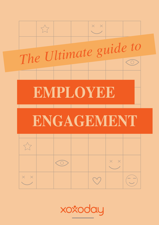

xoxoday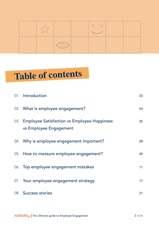|  |                                                                                                                                    | $\times$ $\times$ |  |
|--|------------------------------------------------------------------------------------------------------------------------------------|-------------------|--|
|  | $(\quad)$<br><b>Contract Contract Contract Contract Contract Contract Contract Contract Contract Contract Contract Contract Co</b> |                   |  |

# **Table of contents**

| 01. Introduction                                                          | 03 |
|---------------------------------------------------------------------------|----|
| 02. What is employee engagement?                                          | 04 |
| 03. Employee Satisfaction vs Employee Happiness<br>vs Employee Engagement | 05 |
| 04. Why is employee engagement important?                                 | 08 |
| 05. How to measure employee engagement?                                   | 09 |
| 06. Top employee engagement mistakes                                      | 11 |
| 07. Your employee engagement strategy                                     | 17 |
| 08. Success stories                                                       | 21 |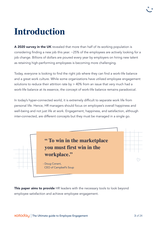# **Introduction**

A 2020 survey in the UK revealed that more than half of its working population is considering finding a new job this year. ~25% of the employees are actively looking for a job change. Billions of dollars are poured every year by employers on hiring new talent as retaining high-performing employees is becoming more challenging.

Today, everyone is looking to find the right job where they can find a work-life balance and a great work culture. While some organizations have utilized employee engagement solutions to reduce their attrition rate by > 40% from an issue that very much had a work-life balance at its essence, the concept of work-life balance remains paradoxical.

In today's hyper-connected world, it is extremely difficult to separate work life from personal life. Hence, HR managers should focus on employee's overall happiness and well-being and not just life at work. Engagement, happiness, and satisfaction, although inter-connected, are different concepts but they must be managed in a single go.



This paper aims to provide HR leaders with the necessary tools to look beyond employee satisfaction and achieve employee engagement.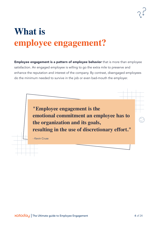# **What is employee engagement?**

Employee engagement is a pattern of employee behavior that is more than employee satisfaction. An engaged employee is willing to go the extra mile to preserve and enhance the reputation and interest of the company. By contrast, disengaged employees do the minimum needed to survive in the job or even bad-mouth the employer.

> **"Employee engagement is the emotional commitment an employee has to the organization and its goals, resulting in the use of discretionary effort."**

- Kevin Cruse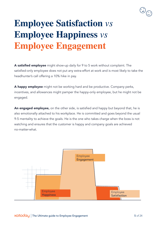

# **Employee Satisfaction** *vs*  **Employee Happiness** *vs*  **Employee Engagement**

A satisfied employee might show-up daily for 9 to 5 work without complaint. The satisfied-only employee does not put any extra-effort at work and is most likely to take the headhunter's call offering a 10% hike in pay.

A happy employee might not be working hard and be productive. Company perks, incentives, and allowances might pamper the happy-only employee, but he might not be engaged.

An engaged employee, on the other side, is satisfied and happy but beyond that, he is also emotionally attached to his workplace. He is committed and goes beyond the usual 9-5 mentality to achieve the goals. He is the one who takes charge when the boss is not watching and ensures that the customer is happy and company goals are achieved no-matter-what.

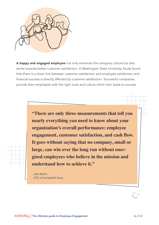

A happy and engaged employee not only enhances the company culture but also works towards better customer satisfaction. A Washington State University Study found that there is a direct link between customer satisfaction and employee satisfaction and financial success is directly affected by customer satisfaction. Successful companies provide their employees with the right tools and culture which then leads to success.

> **"There are only three measurements that tell you nearly everything you need to know about your organization's overall performance: employee engagement, customer satisfaction, and cash flow. It goes without saying that no company, small or large, can win over the long run without energized employees who believe in the mission and understand how to achieve it."**

- Jack Welch, CEO of Campbell's Soup

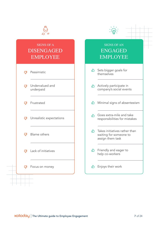

#### SIGNS OF AN ENGAGED EMPLOYEE

 $\sum_{i=1}^{n}$ 

- **△** Sets bigger goals for themselves
- Actively participate in company's social events
- $\triangle$  Minimal signs of absenteeism
- Goes extra-mile and take responsibilities for mistakes
- $\bigcap$  Takes initiatives rather than waiting for someone to assign them task
- Friendly and eager to help co-workers
- Enjoys their work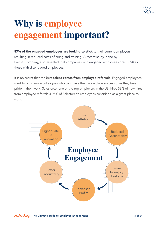

# **Why is employee engagement important?**

87% of the engaged employees are looking to stick to their current employers resulting in reduced costs of hiring and training. A recent study, done by Bain & Company, also revealed that companies with engaged employees grew 2.5X as those with disengaged employees.

It is no secret that the best **talent comes from employee referrals**. Engaged employees want to bring more colleagues who can make their work-place successful as they take pride in their work. Salesforce, one of the top employers in the US, hires 53% of new hires from employee referrals.4 95% of Salesforce's employees consider it as a great place to work.

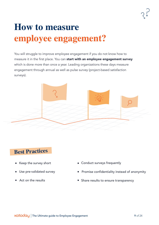# **How to measure employee engagement?**

You will struggle to improve employee engagement if you do not know how to measure it in the first place. You can start with an employee engagement survey which is done more than once a year. Leading organizations these days measure engagement through annual as well as pulse survey (project-based satisfaction surveys).



### **Best Practices**

- 
- $\blacksquare$
- 
- Keep the survey short **Conduct surveys frequently** 
	- Use pre-validated survey **Promise confidentiality instead of anonymity**
	- Act on the results **Share results COV** Share results to ensure transparency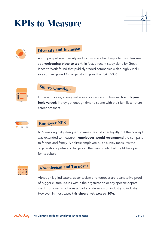# **KPIs to Measure**





### **Diversity and Inclusion**

A company where diversity and inclusion are held important is often seen as a **welcoming place to work**. In fact, a recent study done by Great Place to Work found that publicly traded companies with a highly inclusive culture gained 4X larger stock gains than S&P 5006.



### **Survey Questions**

In the employee, survey make sure you ask about how each **employee** feels valued; if they get enough time to spend with their families; future career prospect.



#### **Employee NPS**

NPS was originally designed to measure customer loyalty but the concept was extended to measure if **employees would recommend** the company to friends and family. A holistic employee pulse survey measures the organization's pulse and targets all the pain points that might be a pivot for its culture.



### **Absenteeism and Turnover**

Although lag indicators, absenteeism and turnover are quantitative proof of bigger cultural issues within the organization or any specific department. Turnover is not always bad and depends on industry to industry. However, in most cases this should not exceed 10%.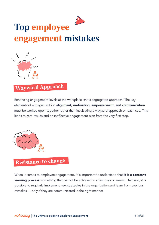# **Top employee engagement mistakes**



### **Wayward Approach**

Enhancing engagement levels at the workplace isn't a segregated approach. The key elements of engagement i.e. alignment, motivation, empowerment, and communication must be worked upon together rather than inculcating a wayward approach on each cue. This leads to zero results and an ineffective engagement plan from the very first step.



### **Resistance to change**

When it comes to employee engagement, it is important to understand that it is a constant learning process: something that cannot be achieved in a few days or weeks. That said, it is possible to regularly implement new strategies in the organization and learn from previous mistakes — only if they are communicated in the right manner.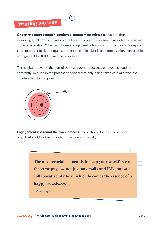### **Waiting too long**

One of the most common employee engagement mistakes that are often a stumbling block for companies is "waiting too long" to implement important strategies in the organization. When employee engagement falls short of continuity and transparency, getting it back up requires professional help—just like an organization increased its engagement by 100% to reduce problems.

This is a bad move on the part of the management because employees need to be constantly involved in the process as opposed to only being taken care of at the last minute when things go awry.



Engagement is a round-the-clock process, and it should be injected into the organization's bloodstream rather than a one-off activity.

> **The most crucial element is to keep your workforce on the same page — not just on emails and IMs, but at a collaborative platform which becomes the essence of a happy workforce.**

- Maya Angelou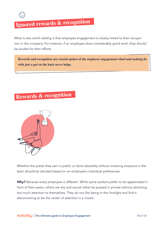

### **Ignored rewards & recognition**

What is also worth adding is that employee engagement is closely linked to their recognition in the company. For instance, if an employee does considerably good work, they should be lauded for their efforts.

**Rewards and recognition are crucial spokes of the employee engagement wheel and making do with just a pat on the back never helps.**

### **Rewards & recognition**



Whether the praise they earn is public or done discreetly without involving everyone in the team should be decided based on an employee's individual preferences.

Why? Because every employee is different. While some workers prefer to be appreciated in front of their peers, others are shy and would rather be praised in private without attracting too much attention to themselves. They do not like being in the limelight and find it disconcerting to be the center of attention in a crowd.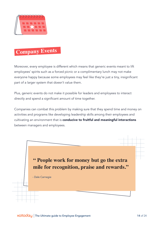

### **Company Events**

Moreover, every employee is different which means that generic events meant to lift employees' spirits such as a forced picnic or a complimentary lunch may not make everyone happy because some employees may feel like they're just a tiny, insignificant part of a larger system that doesn't value them.

Plus, generic events do not make it possible for leaders and employees to interact directly and spend a significant amount of time together.

Companies can combat this problem by making sure that they spend time and money on activities and programs like developing leadership skills among their employees and cultivating an environment that is conducive to fruitful and meaningful interactions between managers and employees.

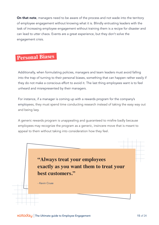On that note, managers need to be aware of the process and not wade into the territory of employee engagement without knowing what it is. Blindly entrusting leaders with the task of increasing employee engagement without training them is a recipe for disaster and can lead to utter chaos. Events are a great experience, but they don't solve the engagement crisis.

### **Personal Biases**

Additionally, when formulating policies, managers and team leaders must avoid falling into the trap of turning to their personal biases, something that can happen rather easily if they do not make a conscious effort to avoid it. The last thing employees want is to feel unheard and misrepresented by their managers.

For instance, if a manager is coming up with a rewards program for the company's employees, they must spend time conducting research instead of taking the easy way out and being lazy.

A generic rewards program is unappealing and guaranteed to misfire badly because employees may recognize the program as a generic, insincere move that is meant to appeal to them without taking into consideration how they feel.

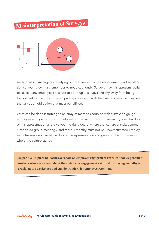## **Misinterpretation of Surveys**



Additionally, if managers are relying on tools like employee engagement and satisfaction surveys, they must remember to tread cautiously. Surveys may misrepresent reality because many employees hesitate to open-up in surveys and shy away from being transparent. Some may not even participate or rush with the answers because they see the task as an obligation that must be fulfilled.

What can be done is turning to an array of methods coupled with surveys to gauge employee engagement such as informal conversations, a lot of research, open hurdles of misrepresentation and give you the right idea of where the culture stands, communication via group meetings, and more. Empathy must not be underestimated.Employee pulse surveys cross all hurdles of misrepresentation and give you the right idea of where the culture stands.

**As per a 2019 piece by Forbes, a report on employee engagement revealed that 96 percent of workers who were asked about their views on engagement said that displaying empathy is crucial at the workplace and can do wonders for employee retention.**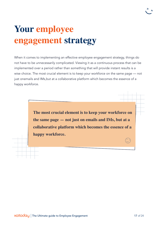# **Your employee engagement strategy**

When it comes to implementing an effective employee engagement strategy, things do not have to be unnecessarily complicated. Viewing it as a continuous process that can be implemented over a period rather than something that will provide instant results is a wise choice. The most crucial element is to keep your workforce on the same page — not just onemails and IMs,but at a collaborative platform which becomes the essence of a happy workforce.

> **The most crucial element is to keep your workforce on the same page — not just on emails and IMs, but at a collaborative platform which becomes the essence of a happy workforce.**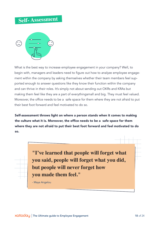#### **Self- Assessmen<sup>t</sup>**



What is the best way to increase employee engagement in your company? Well, to begin with, managers and leaders need to figure out how to analyze employee engagement within the company by asking themselves whether their team members feel supported enough to answer questions like they know their function within the company and can thrive in their roles. It's simply not about sending out OKRs and KRAs but making them feel like they are a part of everythingsmall and big. They must feel valued. Moreover, the office needs to be a safe space for them where they are not afraid to put their best foot forward and feel motivated to do so.

Self-assessment throws light on where a person stands when it comes to making the culture what it is. Moreover, the office needs to be a safe space for them where they are not afraid to put their best foot forward and feel motivated to do so.



**"I've learned that people will forget what you said, people will forget what you did, but people will never forget how you made them feel."**

- Maya Angelou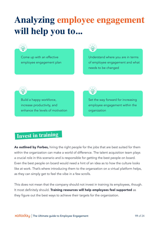# **Analyzing employee engagement will help you to...**



Come up with an effective employee engagement plan



Understand where you are in terms of employee engagement and what needs to be changed



Build a happy workforce, increase productivity, and enhance the levels of motivation



Set the way forward for increasing employee engagement within the organization

### **Invest in training**

As outlined by Forbes, hiring the right people for the jobs that are best suited for them within the organization can make a world of difference. The talent acquisition team plays a crucial role in this scenario and is responsible for getting the best people on board. Even the best people on board would need a hint of an idea as to how the culture looks like at work. That's where introducing them to the organzation on a virtual platform helps, as they can simply get to feel the vibe in a few scrolls.

This does not mean that the company should not invest in training its employees, though. It most definitely should. Training resources will help employees feel supported as they figure out the best ways to achieve their targets for the organization.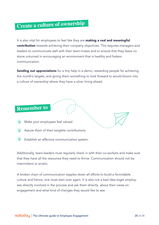### **Create a culture of ownership**

It is also vital for employees to feel like they are **making a real and meaningful** contribution towards achieving their company objectives. This requires managers and leaders to communicate well with their team-mates and to ensure that they leave no stone unturned in encouraging an environment that is healthy and fosters communication.

**Sending out appreciations** for a tiny help in a demo, rewarding people for achieving the month's targets, and giving them something to look forward to would bloom into a culture of ownership where they have a silver lining ahead.

### **Remember to**

- *Soft* Make your employees feel valued
- **Assure them of their tangible contributions** 
	- Establish an effective communication system.

Additionally, team-leaders must regularly check in with their co-workers and make sure that they have all the resources they need to thrive. Communication should not be intermittent or erratic.

A broken chain of communication topples down all efforts to build a formidable culture and hence, one must start over again. It is also not a bad idea toget employees directly involved in the process and ask them directly about their views on engagement and what kind of changes they would like to see.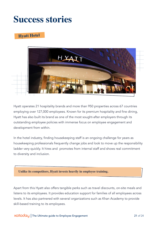### **Success stories**

#### **Hyatt Hotel**



Hyatt operates 21 hospitality brands and more than 950 properties across 67 countries employing over 127,000 employees. Known for its premium hospitality and fine dining, Hyatt has also built its brand as one of the most sought-after employers through its outstanding employee policies with immense focus on employee engagement and development from within.

In the hotel industry, finding housekeeping staff is an ongoing challenge for years as housekeeping professionals frequently change jobs and look to move up the responsibility ladder very quickly. It hires and promotes from internal staff and shows real commitment to diversity and inclusion.

#### **Unlike its competitors, Hyatt invests heavily in employee training.**

Apart from this Hyatt also offers tangible perks such as travel discounts, on-site meals and listens to its employees. It provides education support for families of all employees across levels. It has also partnered with several organizations such as Khan Academy to provide skill-based training to its employees.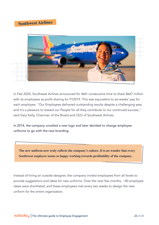#### **Southwest Airlines**



In Feb 2020, Southwest Airlines announced for 46th consecutive time to share \$667 million with its employees as profit sharing for FY2019. This was equivalent to six-weeks' pay for each employee. "Our Employees delivered outstanding results despite a challenging year, and it's a pleasure to reward our People for all they contribute to our continued success," said Gary Kelly, Chairman of the Board and CEO of Southwest Airlines.

In 2014, the company unveiled a new logo and later decided to change employee uniforms to go with the new branding.

**The new uniform now truly reflects the company's culture. It is no wonder that every Southwest employee seems so happy working towards profitability of the company.**

Instead of hiring an outside designer, the company invited employees from all levels to provide suggestions and ideas for new uniforms. Over the next few months, ~40 employee ideas were shortlisted, and these employees met every two weeks to design the new uniform for the entire organization.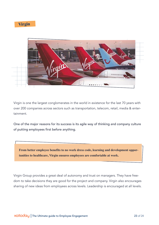**Virgin**



Virgin is one the largest conglomerates in the world in existence for the last 70 years with over 200 companies across sectors such as transportation, telecom, retail, media & entertainment.

One of the major reasons for its success is its agile way of thinking and company culture of putting employees first before anything.

**From better employee benefits to no work dress code, learning and development opportunities to healthcare, Virgin ensures employees are comfortable at work.** 

Virgin Group provides a great deal of autonomy and trust on managers. They have freedom to take decisions they are good for the project and company. Virgin also encourages sharing of new ideas from employees across levels. Leadership is encouraged at all levels.